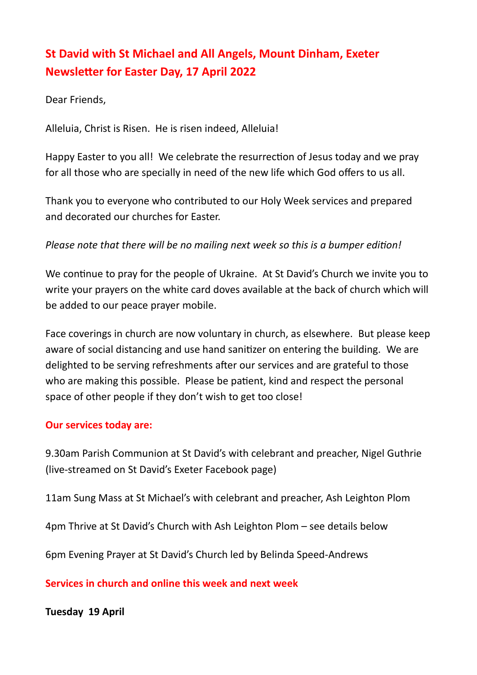# **St David with St Michael and All Angels, Mount Dinham, Exeter Newsletter for Easter Day, 17 April 2022**

Dear Friends,

Alleluia, Christ is Risen. He is risen indeed, Alleluia!

Happy Easter to you all! We celebrate the resurrection of Jesus today and we pray for all those who are specially in need of the new life which God offers to us all.

Thank you to everyone who contributed to our Holy Week services and prepared and decorated our churches for Easter.

## *Please note that there will be no mailing next week so this is a bumper edition!*

We continue to pray for the people of Ukraine. At St David's Church we invite you to write your prayers on the white card doves available at the back of church which will be added to our peace prayer mobile.

Face coverings in church are now voluntary in church, as elsewhere. But please keep aware of social distancing and use hand sanitizer on entering the building. We are delighted to be serving refreshments after our services and are grateful to those who are making this possible. Please be patient, kind and respect the personal space of other people if they don't wish to get too close!

#### **Our services today are:**

9.30am Parish Communion at St David's with celebrant and preacher, Nigel Guthrie (live-streamed on St David's Exeter Facebook page)

11am Sung Mass at St Michael's with celebrant and preacher, Ash Leighton Plom

4pm Thrive at St David's Church with Ash Leighton Plom – see details below

6pm Evening Prayer at St David's Church led by Belinda Speed-Andrews

**Services in church and online this week and next week**

**Tuesday 19 April**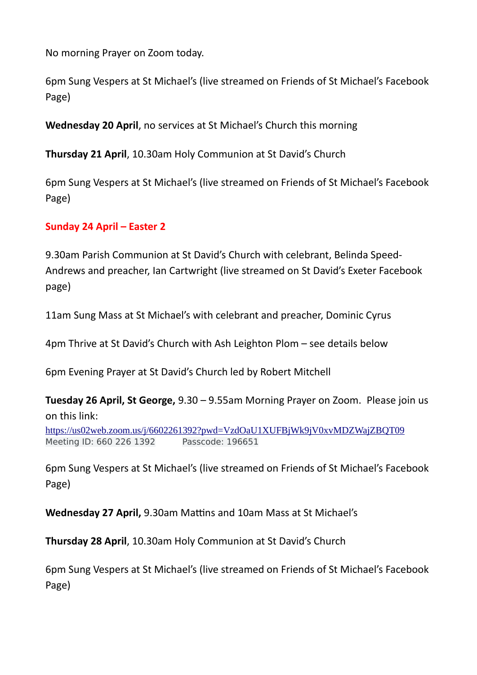No morning Prayer on Zoom today.

6pm Sung Vespers at St Michael's (live streamed on Friends of St Michael's Facebook Page)

**Wednesday 20 April**, no services at St Michael's Church this morning

**Thursday 21 April**, 10.30am Holy Communion at St David's Church

6pm Sung Vespers at St Michael's (live streamed on Friends of St Michael's Facebook Page)

#### **Sunday 24 April – Easter 2**

9.30am Parish Communion at St David's Church with celebrant, Belinda Speed-Andrews and preacher, Ian Cartwright (live streamed on St David's Exeter Facebook page)

11am Sung Mass at St Michael's with celebrant and preacher, Dominic Cyrus

4pm Thrive at St David's Church with Ash Leighton Plom – see details below

6pm Evening Prayer at St David's Church led by Robert Mitchell

**Tuesday 26 April, St George,** 9.30 – 9.55am Morning Prayer on Zoom. Please join us on this link:

<https://us02web.zoom.us/j/6602261392?pwd=VzdOaU1XUFBjWk9jV0xvMDZWajZBQT09> Meeting ID: 660 226 1392 Passcode: 196651

6pm Sung Vespers at St Michael's (live streamed on Friends of St Michael's Facebook Page)

**Wednesday 27 April,** 9.30am Mattins and 10am Mass at St Michael's

**Thursday 28 April**, 10.30am Holy Communion at St David's Church

6pm Sung Vespers at St Michael's (live streamed on Friends of St Michael's Facebook Page)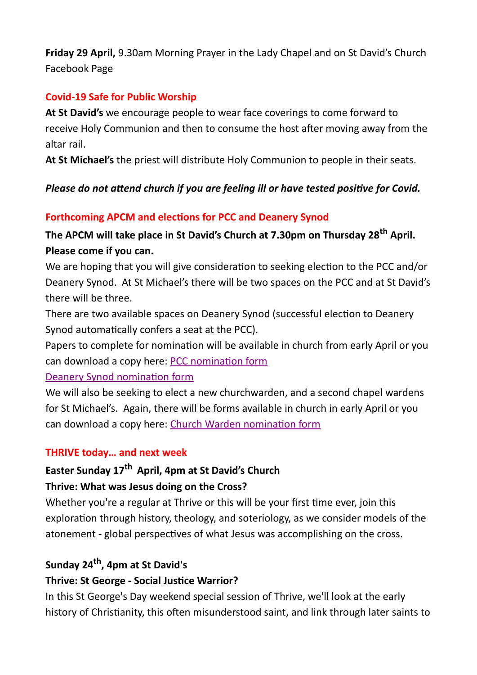**Friday 29 April,** 9.30am Morning Prayer in the Lady Chapel and on St David's Church Facebook Page

## **Covid-19 Safe for Public Worship**

**At St David's** we encourage people to wear face coverings to come forward to receive Holy Communion and then to consume the host after moving away from the altar rail.

**At St Michael's** the priest will distribute Holy Communion to people in their seats.

# *Please do not attend church if you are feeling ill or have tested positive for Covid.*

# **Forthcoming APCM and elections for PCC and Deanery Synod**

# **The APCM will take place in St David's Church at 7.30pm on Thursday 28th April. Please come if you can.**

We are hoping that you will give consideration to seeking election to the PCC and/or Deanery Synod. At St Michael's there will be two spaces on the PCC and at St David's there will be three.

There are two available spaces on Deanery Synod (successful election to Deanery Synod automatically confers a seat at the PCC).

Papers to complete for nomination will be available in church from early April or you can download a copy here: [PCC nomination form](http://exeter.anglican.org/wp-content/uploads/2016/11/nom-pcc.pdf)

#### [Deanery Synod nomination form](https://www.parishresources.org.uk/wp-content/uploads/nom-deanery.pdf)

We will also be seeking to elect a new churchwarden, and a second chapel wardens for St Michael's. Again, there will be forms available in church in early April or you can download a copy here: [Church Warden nomination form](https://www.parishresources.org.uk/wp-content/uploads/nom-cw.pdf)

#### **THRIVE today… and next week**

# **Easter Sunday 17th April, 4pm at St David's Church Thrive: What was Jesus doing on the Cross?**

Whether you're a regular at Thrive or this will be your first time ever, join this exploration through history, theology, and soteriology, as we consider models of the atonement - global perspectives of what Jesus was accomplishing on the cross.

# **Sunday 24th , 4pm at St David's**

## **Thrive: St George - Social Justice Warrior?**

In this St George's Day weekend special session of Thrive, we'll look at the early history of Christianity, this often misunderstood saint, and link through later saints to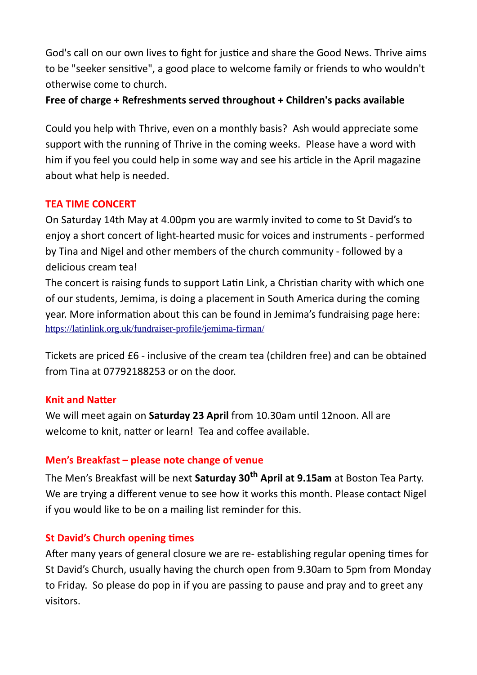God's call on our own lives to fight for justice and share the Good News. Thrive aims to be "seeker sensitive", a good place to welcome family or friends to who wouldn't otherwise come to church.

## **Free of charge + Refreshments served throughout + Children's packs available**

Could you help with Thrive, even on a monthly basis? Ash would appreciate some support with the running of Thrive in the coming weeks. Please have a word with him if you feel you could help in some way and see his article in the April magazine about what help is needed.

## **TEA TIME CONCERT**

On Saturday 14th May at 4.00pm you are warmly invited to come to St David's to enjoy a short concert of light-hearted music for voices and instruments - performed by Tina and Nigel and other members of the church community - followed by a delicious cream tea!

The concert is raising funds to support Latin Link, a Christian charity with which one of our students, Jemima, is doing a placement in South America during the coming year. More information about this can be found in Jemima's fundraising page here: <https://latinlink.org.uk/fundraiser-profile/jemima-firman/>

Tickets are priced £6 - inclusive of the cream tea (children free) and can be obtained from Tina at 07792188253 or on the door.

## **Knit and Natter**

We will meet again on **Saturday 23 April** from 10.30am until 12noon. All are welcome to knit, natter or learn! Tea and coffee available.

## **Men's Breakfast – please note change of venue**

The Men's Breakfast will be next **Saturday 30th April at 9.15am** at Boston Tea Party. We are trying a different venue to see how it works this month. Please contact Nigel if you would like to be on a mailing list reminder for this.

## **St David's Church opening times**

After many years of general closure we are re- establishing regular opening times for St David's Church, usually having the church open from 9.30am to 5pm from Monday to Friday. So please do pop in if you are passing to pause and pray and to greet any visitors.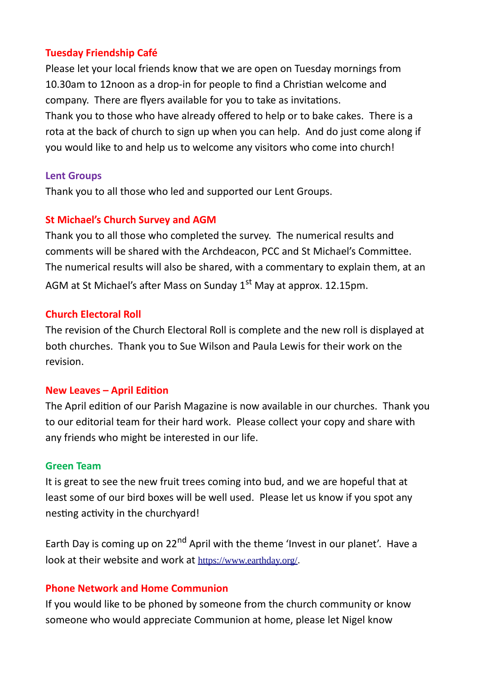#### **Tuesday Friendship Café**

Please let your local friends know that we are open on Tuesday mornings from 10.30am to 12noon as a drop-in for people to find a Christian welcome and company. There are flyers available for you to take as invitations. Thank you to those who have already offered to help or to bake cakes. There is a rota at the back of church to sign up when you can help. And do just come along if you would like to and help us to welcome any visitors who come into church!

#### **Lent Groups**

Thank you to all those who led and supported our Lent Groups.

#### **St Michael's Church Survey and AGM**

Thank you to all those who completed the survey. The numerical results and comments will be shared with the Archdeacon, PCC and St Michael's Committee. The numerical results will also be shared, with a commentary to explain them, at an AGM at St Michael's after Mass on Sunday 1<sup>st</sup> May at approx. 12.15pm.

#### **Church Electoral Roll**

The revision of the Church Electoral Roll is complete and the new roll is displayed at both churches. Thank you to Sue Wilson and Paula Lewis for their work on the revision.

#### **New Leaves – April Edition**

The April edition of our Parish Magazine is now available in our churches. Thank you to our editorial team for their hard work. Please collect your copy and share with any friends who might be interested in our life.

#### **Green Team**

It is great to see the new fruit trees coming into bud, and we are hopeful that at least some of our bird boxes will be well used. Please let us know if you spot any nesting activity in the churchyard!

Earth Day is coming up on 22<sup>nd</sup> April with the theme 'Invest in our planet'. Have a look at their website and work at <https://www.earthday.org/>.

#### **Phone Network and Home Communion**

If you would like to be phoned by someone from the church community or know someone who would appreciate Communion at home, please let Nigel know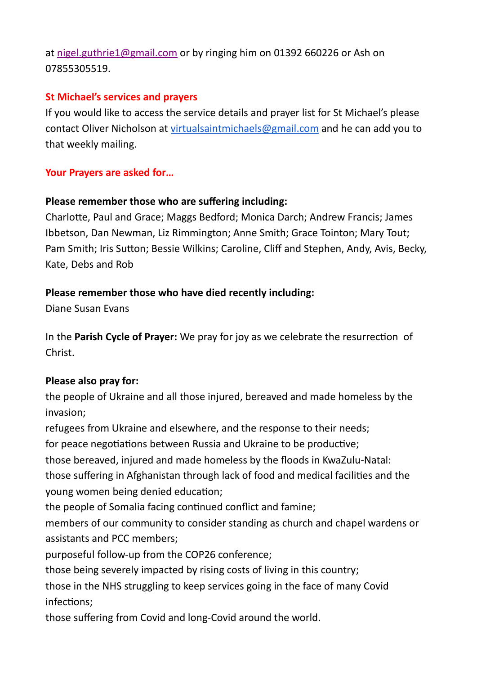at [nigel.guthrie1@gmail.com](mailto:nigel.guthrie1@gmail.com) or by ringing him on 01392 660226 or Ash on 07855305519.

### **St Michael's services and prayers**

If you would like to access the service details and prayer list for St Michael's please contact Oliver Nicholson at [virtualsaintmichaels@gmail.com](mailto:virtualsaintmichaels@gmail.com) and he can add you to that weekly mailing.

## **Your Prayers are asked for…**

## **Please remember those who are suffering including:**

Charlotte, Paul and Grace; Maggs Bedford; Monica Darch; Andrew Francis; James Ibbetson, Dan Newman, Liz Rimmington; Anne Smith; Grace Tointon; Mary Tout; Pam Smith; Iris Sutton; Bessie Wilkins; Caroline, Cliff and Stephen, Andy, Avis, Becky, Kate, Debs and Rob

## **Please remember those who have died recently including:**

Diane Susan Evans

In the **Parish Cycle of Prayer:** We pray for joy as we celebrate the resurrection of Christ.

## **Please also pray for:**

the people of Ukraine and all those injured, bereaved and made homeless by the invasion;

refugees from Ukraine and elsewhere, and the response to their needs;

for peace negotiations between Russia and Ukraine to be productive;

those bereaved, injured and made homeless by the floods in KwaZulu-Natal:

those suffering in Afghanistan through lack of food and medical facilities and the young women being denied education;

the people of Somalia facing continued conflict and famine;

members of our community to consider standing as church and chapel wardens or assistants and PCC members;

purposeful follow-up from the COP26 conference;

those being severely impacted by rising costs of living in this country;

those in the NHS struggling to keep services going in the face of many Covid infections;

those suffering from Covid and long-Covid around the world.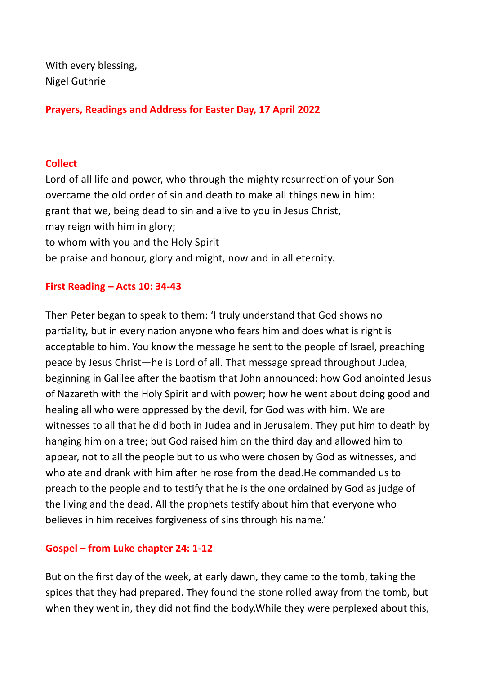With every blessing, Nigel Guthrie

**Prayers, Readings and Address for Easter Day, 17 April 2022**

#### **Collect**

Lord of all life and power, who through the mighty resurrection of your Son overcame the old order of sin and death to make all things new in him: grant that we, being dead to sin and alive to you in Jesus Christ, may reign with him in glory; to whom with you and the Holy Spirit be praise and honour, glory and might, now and in all eternity.

## **First Reading – Acts 10: 34-43**

Then Peter began to speak to them: 'I truly understand that God shows no partiality, but in every nation anyone who fears him and does what is right is acceptable to him. You know the message he sent to the people of Israel, preaching peace by Jesus Christ—he is Lord of all. That message spread throughout Judea, beginning in Galilee after the baptism that John announced: how God anointed Jesus of Nazareth with the Holy Spirit and with power; how he went about doing good and healing all who were oppressed by the devil, for God was with him. We are witnesses to all that he did both in Judea and in Jerusalem. They put him to death by hanging him on a tree; but God raised him on the third day and allowed him to appear, not to all the people but to us who were chosen by God as witnesses, and who ate and drank with him after he rose from the dead.He commanded us to preach to the people and to testify that he is the one ordained by God as judge of the living and the dead. All the prophets testify about him that everyone who believes in him receives forgiveness of sins through his name.'

## **Gospel – from Luke chapter 24: 1-12**

But on the first day of the week, at early dawn, they came to the tomb, taking the spices that they had prepared. They found the stone rolled away from the tomb, but when they went in, they did not find the body.While they were perplexed about this,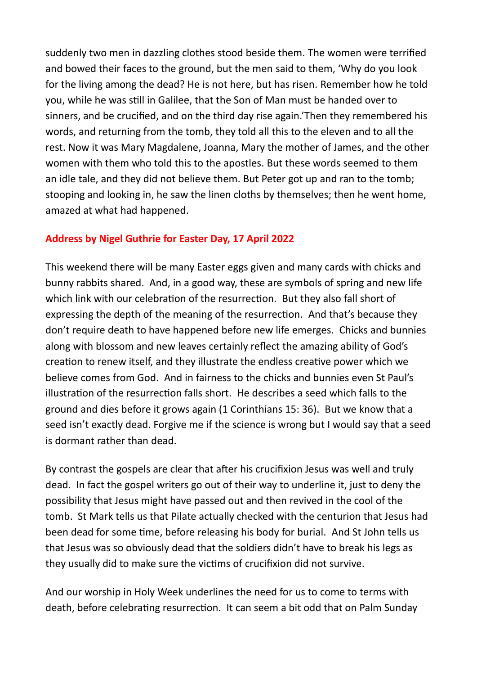suddenly two men in dazzling clothes stood beside them. The women were terrified and bowed their faces to the ground, but the men said to them, 'Why do you look for the living among the dead? He is not here, but has risen. Remember how he told you, while he was still in Galilee, that the Son of Man must be handed over to sinners, and be crucified, and on the third day rise again.'Then they remembered his words, and returning from the tomb, they told all this to the eleven and to all the rest. Now it was Mary Magdalene, Joanna, Mary the mother of James, and the other women with them who told this to the apostles. But these words seemed to them an idle tale, and they did not believe them. But Peter got up and ran to the tomb; stooping and looking in, he saw the linen cloths by themselves; then he went home, amazed at what had happened.

#### **Address by Nigel Guthrie for Easter Day, 17 April 2022**

This weekend there will be many Easter eggs given and many cards with chicks and bunny rabbits shared. And, in a good way, these are symbols of spring and new life which link with our celebration of the resurrection. But they also fall short of expressing the depth of the meaning of the resurrection. And that's because they don't require death to have happened before new life emerges. Chicks and bunnies along with blossom and new leaves certainly reflect the amazing ability of God's creation to renew itself, and they illustrate the endless creative power which we believe comes from God. And in fairness to the chicks and bunnies even St Paul's illustration of the resurrection falls short. He describes a seed which falls to the ground and dies before it grows again (1 Corinthians 15: 36). But we know that a seed isn't exactly dead. Forgive me if the science is wrong but I would say that a seed is dormant rather than dead.

By contrast the gospels are clear that after his crucifixion Jesus was well and truly dead. In fact the gospel writers go out of their way to underline it, just to deny the possibility that Jesus might have passed out and then revived in the cool of the tomb. St Mark tells us that Pilate actually checked with the centurion that Jesus had been dead for some time, before releasing his body for burial. And St John tells us that Jesus was so obviously dead that the soldiers didn't have to break his legs as they usually did to make sure the victims of crucifixion did not survive.

And our worship in Holy Week underlines the need for us to come to terms with death, before celebrating resurrection. It can seem a bit odd that on Palm Sunday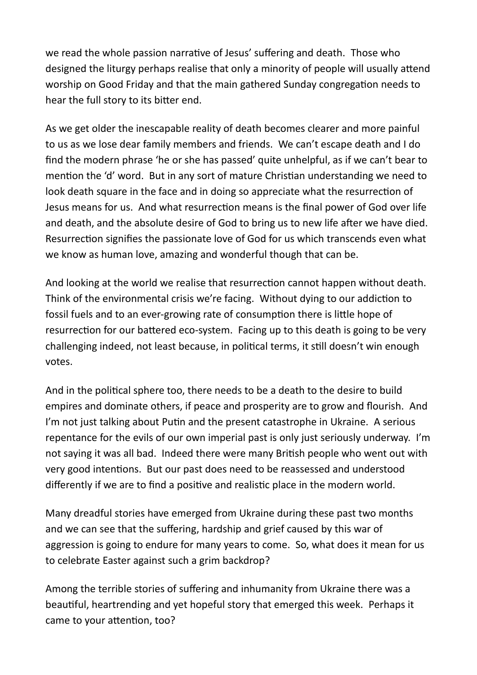we read the whole passion narrative of Jesus' suffering and death. Those who designed the liturgy perhaps realise that only a minority of people will usually attend worship on Good Friday and that the main gathered Sunday congregation needs to hear the full story to its bitter end.

As we get older the inescapable reality of death becomes clearer and more painful to us as we lose dear family members and friends. We can't escape death and I do find the modern phrase 'he or she has passed' quite unhelpful, as if we can't bear to mention the 'd' word. But in any sort of mature Christian understanding we need to look death square in the face and in doing so appreciate what the resurrection of Jesus means for us. And what resurrection means is the final power of God over life and death, and the absolute desire of God to bring us to new life after we have died. Resurrection signifies the passionate love of God for us which transcends even what we know as human love, amazing and wonderful though that can be.

And looking at the world we realise that resurrection cannot happen without death. Think of the environmental crisis we're facing. Without dying to our addiction to fossil fuels and to an ever-growing rate of consumption there is little hope of resurrection for our battered eco-system. Facing up to this death is going to be very challenging indeed, not least because, in political terms, it still doesn't win enough votes.

And in the political sphere too, there needs to be a death to the desire to build empires and dominate others, if peace and prosperity are to grow and flourish. And I'm not just talking about Putin and the present catastrophe in Ukraine. A serious repentance for the evils of our own imperial past is only just seriously underway. I'm not saying it was all bad. Indeed there were many British people who went out with very good intentions. But our past does need to be reassessed and understood differently if we are to find a positive and realistic place in the modern world.

Many dreadful stories have emerged from Ukraine during these past two months and we can see that the suffering, hardship and grief caused by this war of aggression is going to endure for many years to come. So, what does it mean for us to celebrate Easter against such a grim backdrop?

Among the terrible stories of suffering and inhumanity from Ukraine there was a beautiful, heartrending and yet hopeful story that emerged this week. Perhaps it came to your attention, too?